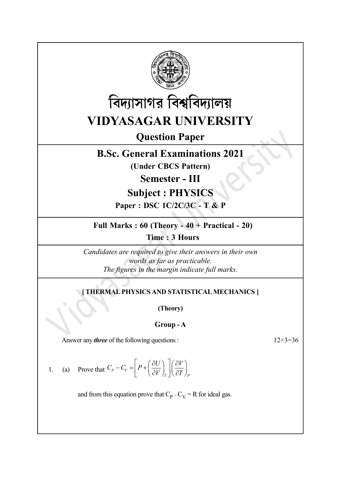



Question Paper

# B.Sc. General Examinations 2021

(Under CBCS Pattern)

Semester - III

## Subject : PHYSICS

Paper : DSC 1C/2C/3C - T & P

Full Marks : 60 (Theory - 40 + Practical - 20)

Time : 3 Hours

Candidates are required to give their answers in their own words as far as practicable. The figures in the margin indicate full marks.

### [ THERMAL PHYSICS AND STATISTICAL MECHANICS ]

(Theory)

#### Group - A

Answer any *three* of the following questions :  $12 \times 3 = 36$ 

1. (a) Prove that  $C_P - C_V = \left[ P + \left( \frac{\partial C}{\partial V} \right)_T \right] \left( \frac{\partial C}{\partial T} \right)_P$  $C_p - C_V = \left[ P + \left( \frac{\partial U}{\partial V} \right) \right] \left( \frac{\partial V}{\partial T} \right)$  $\overline{\partial V}\int_T\left[\left(\overline{\partial T}\right)\right]$  $\begin{bmatrix} D_{\perp}(\partial U) \end{bmatrix}(\partial V)$  $-C_V = \left[ P + \left( \frac{\partial U}{\partial V} \right)_T \right] \left( \frac{\partial V}{\partial T} \right)_P$ 

and from this equation prove that  $C_p - C_V = R$  for ideal gas.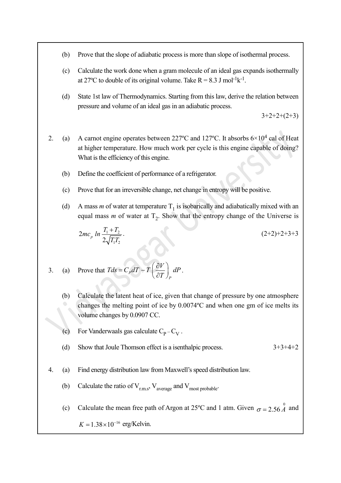- (b) Prove that the slope of adiabatic process is more than slope of isothermal process.
- (c) Calculate the work done when a gram molecule of an ideal gas expands isothermally at 27°C to double of its original volume. Take  $R = 8.3$  J mol<sup>-1</sup>k<sup>-1</sup>.
- (d) State 1st law of Thermodynamics. Starting from this law, derive the relation between pressure and volume of an ideal gas in an adiabatic process.

 $3+2+2+(2+3)$ 

- 2. (a) A carnot engine operates between 227 °C and 127 °C. It absorbs  $6 \times 10^4$  cal of Heat at higher temperature. How much work per cycle is this engine capable of doing? What is the efficiency of this engine.
	- (b) Define the coefficient of performance of a refrigerator.
	- (c) Prove that for an irreversible change, net change in entropy will be positive.
	- (d) A mass *m* of water at temperature  $T_1$  is isobarically and adiabatically mixed with an equal mass  $m$  of water at  $T_2$ . Show that the entropy change of the Universe is

$$
2mc_p \ln \frac{T_1 + T_2}{2\sqrt{T_1 T_2}}.
$$
\n(2+2)+2+3+3

3. (a) Prove that 
$$
Tds = C_p dT - T \left(\frac{\partial V}{\partial T}\right)_P dP
$$
.

- (b) Calculate the latent heat of ice, given that change of pressure by one atmosphere changes the melting point of ice by 0.0074ºC and when one gm of ice melts its volume changes by 0.0907 CC.
- (c) For Vanderwaals gas calculate  $C_p C_V$ .
- (d) Show that Joule Thomson effect is a isenthalpic process.  $3+3+4+2$
- 4. (a) Find energy distribution law from Maxwell's speed distribution law.
	- (b) Calculate the ratio of  $V_{rms}$ ,  $V_{average}$  and  $V_{most\ probable}$ .
	- (c) Calculate the mean free path of Argon at 25<sup>o</sup>C and 1 atm. Given  $\sigma = 2.56 \stackrel{0}{A}$  and

 $K = 1.38 \times 10^{-16}$  erg/Kelvin.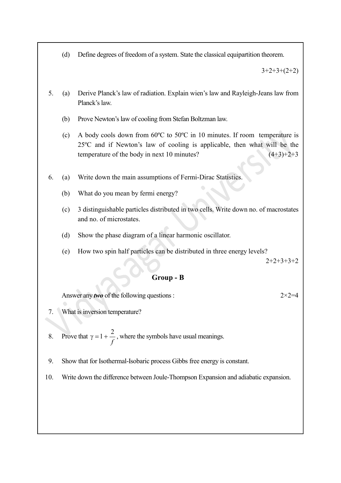(d) Define degrees of freedom of a system. State the classical equipartition theorem.

 $3+2+3+(2+2)$ 

- 5. (a) Derive Planck's law of radiation. Explain wien's law and Rayleigh-Jeans law from Planck's law.
	- (b) Prove Newton's law of cooling from Stefan Boltzman law.
	- (c) A body cools down from 60ºC to 50ºC in 10 minutes. If room temperature is 25ºC and if Newton's law of cooling is applicable, then what will be the temperature of the body in next 10 minutes?  $(4+3)+2+3$
- 6. (a) Write down the main assumptions of Fermi-Dirac Statistics.
	- (b) What do you mean by fermi energy?
	- (c) 3 distinguishable particles distributed in two cells. Write down no. of macrostates and no. of microstates.
	- (d) Show the phase diagram of a linear harmonic oscillator.
	- (e) How two spin half particles can be distributed in three energy levels?

 $2+2+3+3+2$ 

#### Group - B

Answer any *two* of the following questions :  $2 \times 2 = 4$ 

- 7. What is inversion temperature?
- 8. Prove that  $\gamma = 1 + \frac{2}{c}$ f , where the symbols have usual meanings.
- 9. Show that for Isothermal-Isobaric process Gibbs free energy is constant.
- 10. Write down the difference between Joule-Thompson Expansion and adiabatic expansion.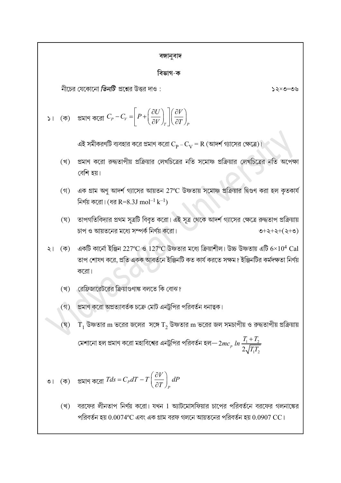| বঙ্গানুবাদ |                                                                                                                                                                                                          |  |  |  |
|------------|----------------------------------------------------------------------------------------------------------------------------------------------------------------------------------------------------------|--|--|--|
| বিভাগ-ক    |                                                                                                                                                                                                          |  |  |  |
|            | নীচের যেকোনো <i>তিনটি</i> প্রশ্নের উত্তর দাও :<br>৩৩=৩×১                                                                                                                                                 |  |  |  |
|            | (ক) প্রমাণ করো $C_P - C_V = \left  P + \left( \frac{\partial U}{\partial V} \right)_r \left  \left( \frac{\partial V}{\partial T} \right)_p \right  \right $                                             |  |  |  |
|            | এই সমীকরণটি ব্যবহার করে প্রমাণ করো $\rm C_p$ – $\rm C_V$ = $\rm R$ (আদর্শ গ্যাসের ক্ষেত্রে)।                                                                                                             |  |  |  |
| (খ)        | প্রমাণ করো রুদ্ধতাপীয় প্রক্রিয়ার লেখচিত্রের নতি সমোষ্ণ প্রক্রিয়ার লেখচিত্রের নতি অপেক্ষা<br>বেশি হয়।                                                                                                 |  |  |  |
| $($ গ)     | এক গ্রাম অণু আদর্শ গ্যাসের আয়তন 27°C উষ্ণতায় সমোষ্ণ প্রক্রিয়ার দ্বিগুণ করা হল কৃতকার্য<br>নির্ণয় করো। (ধর R=8.3J mol $^{-1}$ k $^{-1}$ )                                                             |  |  |  |
| (ঘূ)       | তাপগতিবিদ্যার প্রথম সূত্রটি বিবৃত করো। এই সূত্র থেকে আদর্শ গ্যাসের ক্ষেত্রে রুদ্ধতাপ প্রক্রিয়ায়<br>চাপ ও আয়তনের মধ্যে সম্পর্ক নির্ণয় করো।<br>$(0+2+2+(-1)$                                           |  |  |  |
| (ক)<br>২।  | একটি কার্নো ইঞ্জিন 227°C ও $127$ °C উষ্ণতার মধ্যে ক্রিয়াশীল। উচ্চ উষ্ণতায় এটি $6\times10^4$ Cal<br>তাপ শোষণ করে, প্রতি একক আবর্তনে ইঞ্জিনটি কত কার্য করতে সক্ষম ? ইঞ্জিনটির কর্মদক্ষতা নির্ণয়<br>করো। |  |  |  |
| (খ)        | রেফ্রিজারেটরের ক্রিয়াগুণাঙ্ক বলতে কি বোঝ?                                                                                                                                                               |  |  |  |
| (9)        | প্রমাণ করো অপ্রত্যাবর্তক চক্রে মোট এনট্রপির পরিবর্তন ধনাত্বক।                                                                                                                                            |  |  |  |
| (ঘৃ)       | $\mathrm{T}_1$ উষ্ণতার m ভরের জলের  সঙ্গে $\mathrm{T}_2$ উষ্ণতার m ভরের জল সমচাপীয় ও রুদ্ধতাপীয় প্রক্রিয়ায়                                                                                           |  |  |  |
|            | মেশানো হল প্রমাণ করো মহাবিশ্বের এনট্রপির পরিবর্তন হল $-2mc_p\ ln\frac{I_1+I_2}{2\sqrt{I_1I_2}}$                                                                                                          |  |  |  |
|            | ৩। (ক) প্রমাণ করো $Tds = C_p dT - T \left(\frac{\partial V}{\partial T}\right)_P dP$                                                                                                                     |  |  |  |
| (খ)        | বরফের লীনতাপ নির্ণয় করো। যখন 1 অ্যাটমোসফিয়ার চাপের পরিবর্তনে বরফের গলনাঙ্কের<br>পরিবর্তন হয় $0.0074$ °C এবং এক গ্রাম বরফ গলনে আয়তনের পরিবর্তন হয় $0.0907 \, \mathrm{CC}$ ।                          |  |  |  |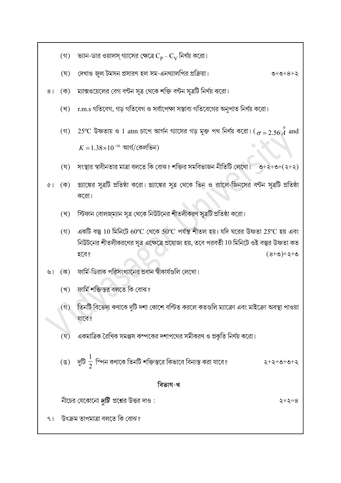- ভ্যান-ডার ওয়ালস্ গ্যাসের ক্ষেত্রে  $\rm C_p$   $\rm C_V$  নির্ণয় করো।  $($ গ)
- দেখাও জ্জ টমসন প্রসারণ হল সম-এনথ্যালপির প্রক্রিয়া।  $(\nabla)$  $0 + 0 + 8 + 3$
- 8 |  $(\overline{\Phi})$ ম্যাক্সওয়েলের বেগ বন্টন সূত্র থেকে শক্তি বন্টন সূত্রটি নির্ণয় করো।
	- r.m.s গতিবেগ, গড় গতিবেগ ও সর্বাপেক্ষা সম্ভাব্য গতিবেগের অনুপাত নির্ণয় করো। (খ)
	- (গ)  $-25^{\circ}$ C উষ্ণতায় ও 1 atm চাপে আর্গন গ্যাসের গড় মুক্ত পথ নির্ণয় করো। ( $\sigma = 2.56 \stackrel{0}{A}$  and  $K = 1.38 \times 10^{-16}$  আৰ্গ/কেলভিন)
	- সংস্থার স্বাধীনতার মাত্রা বলতে কি বোঝ? শক্তির সমবিভাজন নীতিটি লেখো। ত+২+৩+(২+২) (ঘৃ)
- প্ল্যাঙ্কের সূত্রটি প্রতিষ্ঠা করো। প্ল্যাঙ্কের সূত্র থেকে ভিন ও র্যালে-জিনসের বন্টন সূত্রটি প্রতিষ্ঠা  $\left( \overline{\phi }\right)$  ।  $\delta$ করো।
	- স্টিফান বোলজ্ম্যান সূত্র থেকে নিউটনের শীতলীকরণ সূত্রটি প্রতিষ্ঠা করো। (খ্)
	- (গ) একটি বস্তু 10 মিনিটে 60°C থেকে 50°C পর্যন্ত শীতল হয়। যদি ঘরের উষ্ণতা 25°C হয় এবং নিউটনের শীতলীকরণের সত্র এক্ষেত্রে প্রযোজ্য হয়, তবে পরবর্তী 10 মিনিটে ওই বস্তুর উষ্ণতা কত হবে?  $0 + 5 + 0 + 8$
- ৬। (ক) ফার্মি-ডিরাক পরিসংখ্যানের প্রধান স্বীকার্যগুলি লেখো।
	- (খ) ফার্মি শক্তিস্তর বলতে কি বোঝ?
	- $(5)$ তিনটি বিভেদ্য কণাকে দুটি দশা কোশে বণ্টিত করলে কতগুলি ম্যাক্রো এবং মাইক্রো অবস্থা পাওয়া যাবে?
	- (ঘ) একমাত্রিক রৈখিক সমঞ্জস কম্পকের দশাপথের সমীকরণ ও প্রকৃতি নির্ণয় করো।
	- (ঙ) দুটি  $\frac{1}{2}$  স্পিন কণাকে তিনটি শক্তিস্তরে কিভাবে বিন্যস্ত করা যাবে? 5+5+6+6+5

#### বিভাগ-খ

নীচের যেকোনো দুটি প্রশ্নের উত্তর দাও:

২ $\times$ ২ $=$ ৪

উৎক্ৰম তাপমাত্ৰা বলতে কি বোঝ?  $9<sub>1</sub>$